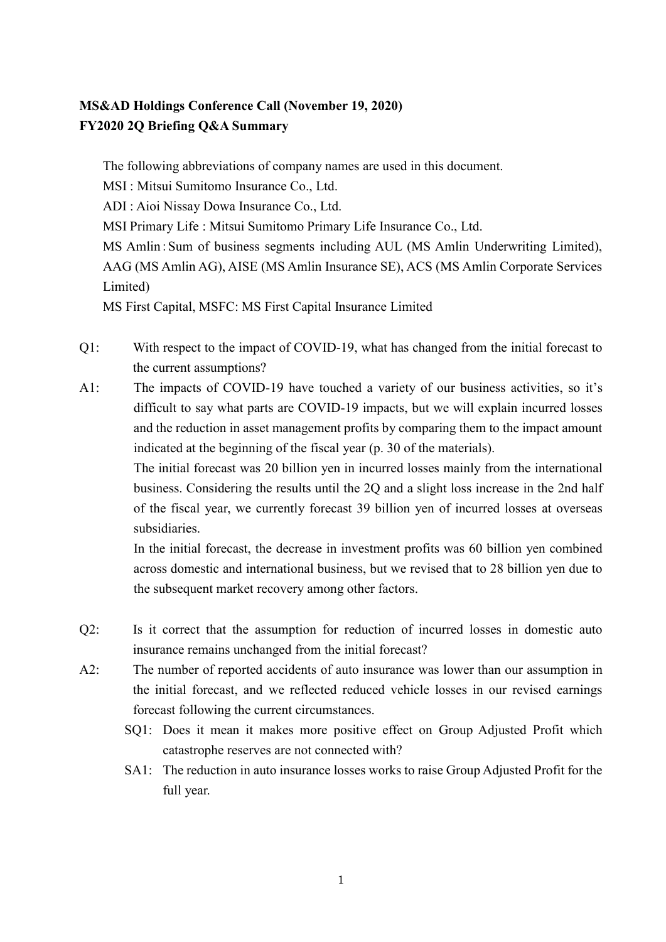## **MS&AD Holdings Conference Call (November 19, 2020) FY2020 2Q Briefing Q&A Summary**

The following abbreviations of company names are used in this document. MSI : Mitsui Sumitomo Insurance Co., Ltd. ADI : Aioi Nissay Dowa Insurance Co., Ltd. MSI Primary Life : Mitsui Sumitomo Primary Life Insurance Co., Ltd. MS Amlin:Sum of business segments including AUL (MS Amlin Underwriting Limited), AAG (MS Amlin AG), AISE (MS Amlin Insurance SE), ACS (MS Amlin Corporate Services Limited) MS First Capital, MSFC: MS First Capital Insurance Limited

Q1: With respect to the impact of COVID-19, what has changed from the initial forecast to the current assumptions?

A1: The impacts of COVID-19 have touched a variety of our business activities, so it's difficult to say what parts are COVID-19 impacts, but we will explain incurred losses and the reduction in asset management profits by comparing them to the impact amount indicated at the beginning of the fiscal year (p. 30 of the materials).

> The initial forecast was 20 billion yen in incurred losses mainly from the international business. Considering the results until the 2Q and a slight loss increase in the 2nd half of the fiscal year, we currently forecast 39 billion yen of incurred losses at overseas subsidiaries.

> In the initial forecast, the decrease in investment profits was 60 billion yen combined across domestic and international business, but we revised that to 28 billion yen due to the subsequent market recovery among other factors.

- Q2: Is it correct that the assumption for reduction of incurred losses in domestic auto insurance remains unchanged from the initial forecast?
- A2: The number of reported accidents of auto insurance was lower than our assumption in the initial forecast, and we reflected reduced vehicle losses in our revised earnings forecast following the current circumstances.
	- SQ1: Does it mean it makes more positive effect on Group Adjusted Profit which catastrophe reserves are not connected with?
	- SA1: The reduction in auto insurance losses works to raise Group Adjusted Profit for the full year.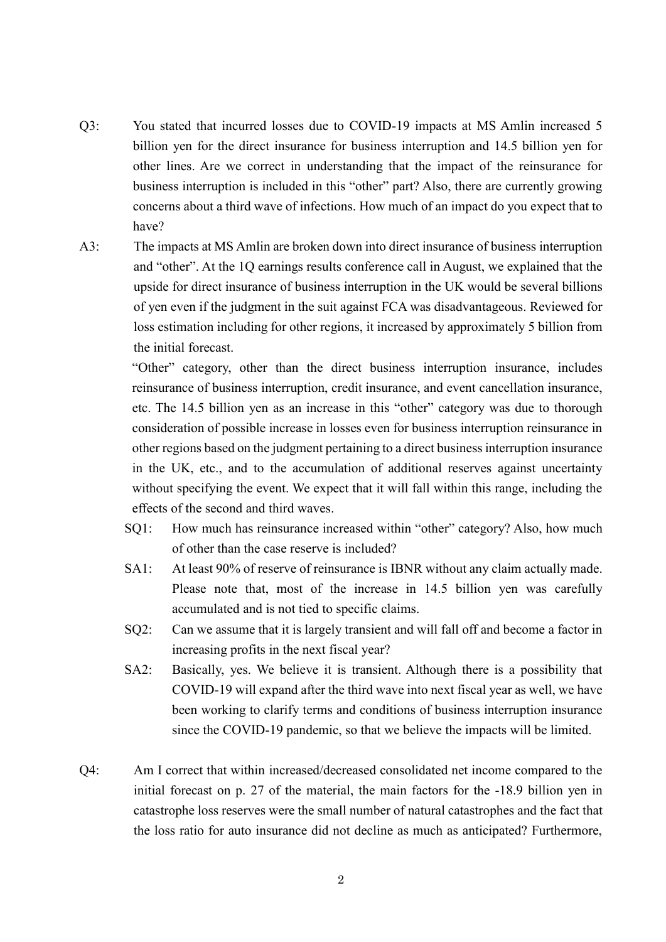- Q3: You stated that incurred losses due to COVID-19 impacts at MS Amlin increased 5 billion yen for the direct insurance for business interruption and 14.5 billion yen for other lines. Are we correct in understanding that the impact of the reinsurance for business interruption is included in this "other" part? Also, there are currently growing concerns about a third wave of infections. How much of an impact do you expect that to have?
- A3: The impacts at MS Amlin are broken down into direct insurance of business interruption and "other". At the 1Q earnings results conference call in August, we explained that the upside for direct insurance of business interruption in the UK would be several billions of yen even if the judgment in the suit against FCA was disadvantageous. Reviewed for loss estimation including for other regions, it increased by approximately 5 billion from the initial forecast.

"Other" category, other than the direct business interruption insurance, includes reinsurance of business interruption, credit insurance, and event cancellation insurance, etc. The 14.5 billion yen as an increase in this "other" category was due to thorough consideration of possible increase in losses even for business interruption reinsurance in other regions based on the judgment pertaining to a direct business interruption insurance in the UK, etc., and to the accumulation of additional reserves against uncertainty without specifying the event. We expect that it will fall within this range, including the effects of the second and third waves.

- SQ1: How much has reinsurance increased within "other" category? Also, how much of other than the case reserve is included?
- SA1: At least 90% of reserve of reinsurance is IBNR without any claim actually made. Please note that, most of the increase in 14.5 billion yen was carefully accumulated and is not tied to specific claims.
- SQ2: Can we assume that it is largely transient and will fall off and become a factor in increasing profits in the next fiscal year?
- SA2: Basically, yes. We believe it is transient. Although there is a possibility that COVID-19 will expand after the third wave into next fiscal year as well, we have been working to clarify terms and conditions of business interruption insurance since the COVID-19 pandemic, so that we believe the impacts will be limited.
- Q4: Am I correct that within increased/decreased consolidated net income compared to the initial forecast on p. 27 of the material, the main factors for the -18.9 billion yen in catastrophe loss reserves were the small number of natural catastrophes and the fact that the loss ratio for auto insurance did not decline as much as anticipated? Furthermore,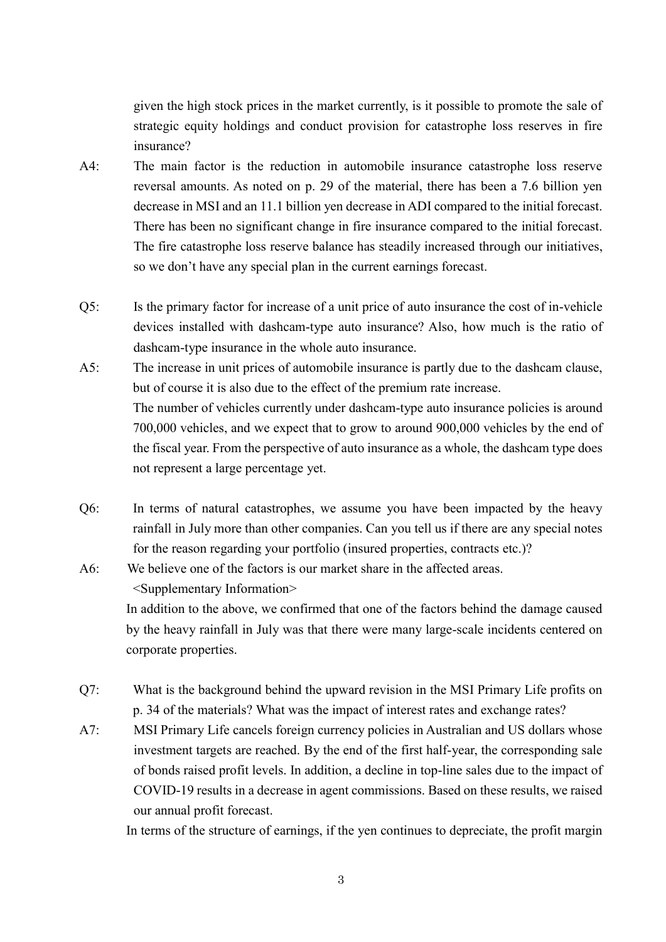given the high stock prices in the market currently, is it possible to promote the sale of strategic equity holdings and conduct provision for catastrophe loss reserves in fire insurance?

- A4: The main factor is the reduction in automobile insurance catastrophe loss reserve reversal amounts. As noted on p. 29 of the material, there has been a 7.6 billion yen decrease in MSI and an 11.1 billion yen decrease in ADI compared to the initial forecast. There has been no significant change in fire insurance compared to the initial forecast. The fire catastrophe loss reserve balance has steadily increased through our initiatives, so we don't have any special plan in the current earnings forecast.
- Q5: Is the primary factor for increase of a unit price of auto insurance the cost of in-vehicle devices installed with dashcam-type auto insurance? Also, how much is the ratio of dashcam-type insurance in the whole auto insurance.
- A5: The increase in unit prices of automobile insurance is partly due to the dashcam clause, but of course it is also due to the effect of the premium rate increase. The number of vehicles currently under dashcam-type auto insurance policies is around 700,000 vehicles, and we expect that to grow to around 900,000 vehicles by the end of the fiscal year. From the perspective of auto insurance as a whole, the dashcam type does not represent a large percentage yet.
- Q6: In terms of natural catastrophes, we assume you have been impacted by the heavy rainfall in July more than other companies. Can you tell us if there are any special notes for the reason regarding your portfolio (insured properties, contracts etc.)?
- A6: We believe one of the factors is our market share in the affected areas. <Supplementary Information> In addition to the above, we confirmed that one of the factors behind the damage caused by the heavy rainfall in July was that there were many large-scale incidents centered on corporate properties.
- Q7: What is the background behind the upward revision in the MSI Primary Life profits on p. 34 of the materials? What was the impact of interest rates and exchange rates?
- A7: MSI Primary Life cancels foreign currency policies in Australian and US dollars whose investment targets are reached. By the end of the first half-year, the corresponding sale of bonds raised profit levels. In addition, a decline in top-line sales due to the impact of COVID-19 results in a decrease in agent commissions. Based on these results, we raised our annual profit forecast.

In terms of the structure of earnings, if the yen continues to depreciate, the profit margin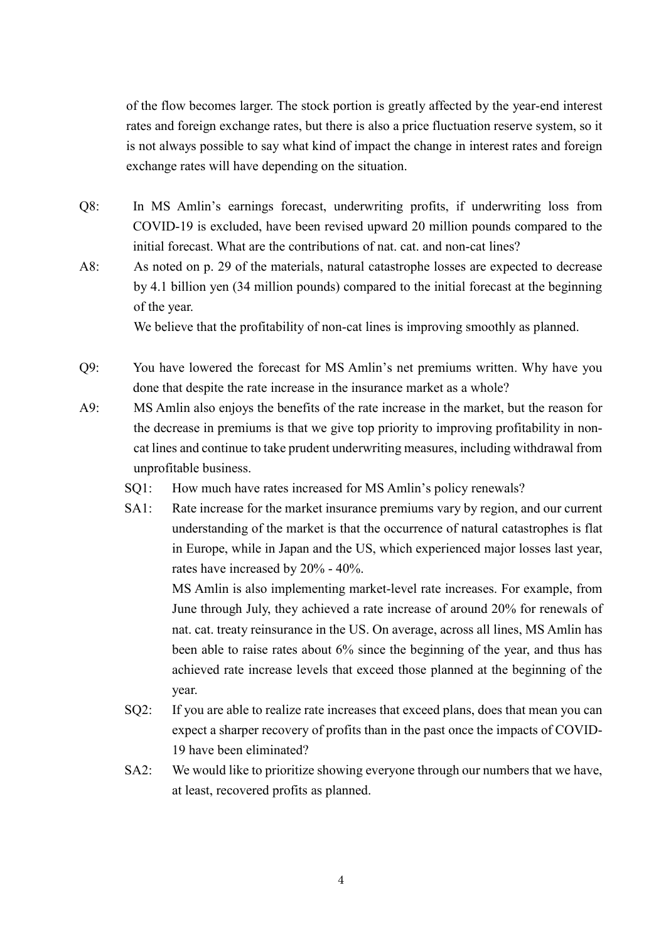of the flow becomes larger. The stock portion is greatly affected by the year-end interest rates and foreign exchange rates, but there is also a price fluctuation reserve system, so it is not always possible to say what kind of impact the change in interest rates and foreign exchange rates will have depending on the situation.

- Q8: In MS Amlin's earnings forecast, underwriting profits, if underwriting loss from COVID-19 is excluded, have been revised upward 20 million pounds compared to the initial forecast. What are the contributions of nat. cat. and non-cat lines?
- A8: As noted on p. 29 of the materials, natural catastrophe losses are expected to decrease by 4.1 billion yen (34 million pounds) compared to the initial forecast at the beginning of the year.

We believe that the profitability of non-cat lines is improving smoothly as planned.

- Q9: You have lowered the forecast for MS Amlin's net premiums written. Why have you done that despite the rate increase in the insurance market as a whole?
- A9: MS Amlin also enjoys the benefits of the rate increase in the market, but the reason for the decrease in premiums is that we give top priority to improving profitability in noncat lines and continue to take prudent underwriting measures, including withdrawal from unprofitable business.
	- SQ1: How much have rates increased for MS Amlin's policy renewals?
	- SA1: Rate increase for the market insurance premiums vary by region, and our current understanding of the market is that the occurrence of natural catastrophes is flat in Europe, while in Japan and the US, which experienced major losses last year, rates have increased by 20% - 40%.

MS Amlin is also implementing market-level rate increases. For example, from June through July, they achieved a rate increase of around 20% for renewals of nat. cat. treaty reinsurance in the US. On average, across all lines, MS Amlin has been able to raise rates about 6% since the beginning of the year, and thus has achieved rate increase levels that exceed those planned at the beginning of the year.

- SQ2: If you are able to realize rate increases that exceed plans, does that mean you can expect a sharper recovery of profits than in the past once the impacts of COVID-19 have been eliminated?
- SA2: We would like to prioritize showing everyone through our numbers that we have, at least, recovered profits as planned.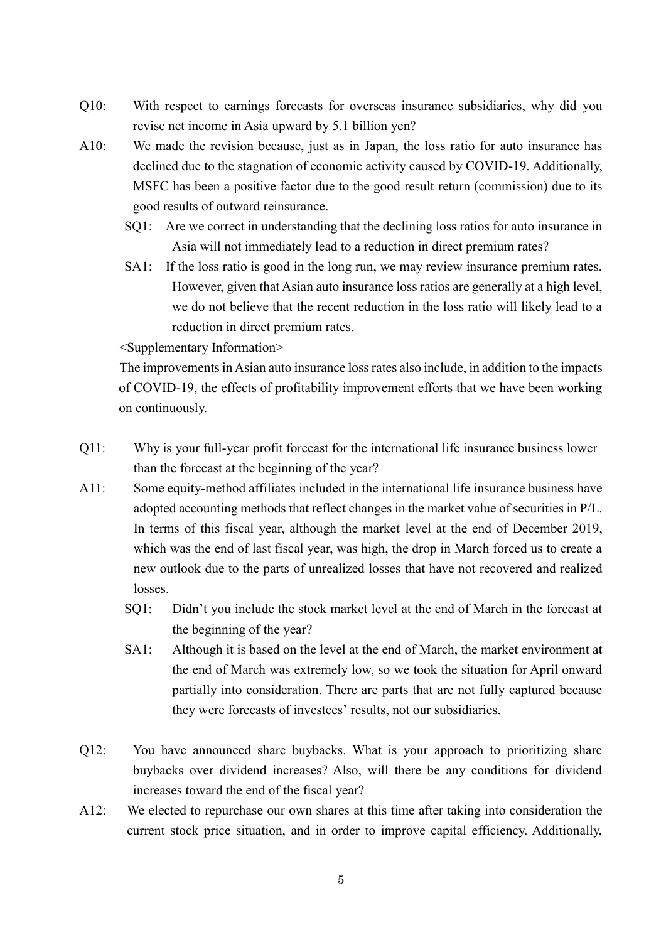- Q10: With respect to earnings forecasts for overseas insurance subsidiaries, why did you revise net income in Asia upward by 5.1 billion yen?
- A10: We made the revision because, just as in Japan, the loss ratio for auto insurance has declined due to the stagnation of economic activity caused by COVID-19. Additionally, MSFC has been a positive factor due to the good result return (commission) due to its good results of outward reinsurance.
	- SQ1: Are we correct in understanding that the declining loss ratios for auto insurance in Asia will not immediately lead to a reduction in direct premium rates?
	- SA1: If the loss ratio is good in the long run, we may review insurance premium rates. However, given that Asian auto insurance loss ratios are generally at a high level, we do not believe that the recent reduction in the loss ratio will likely lead to a reduction in direct premium rates.

<Supplementary Information>

The improvements in Asian auto insurance loss rates also include, in addition to the impacts of COVID-19, the effects of profitability improvement efforts that we have been working on continuously.

- Q11: Why is your full-year profit forecast for the international life insurance business lower than the forecast at the beginning of the year?
- A11: Some equity-method affiliates included in the international life insurance business have adopted accounting methods that reflect changes in the market value of securities in P/L. In terms of this fiscal year, although the market level at the end of December 2019, which was the end of last fiscal year, was high, the drop in March forced us to create a new outlook due to the parts of unrealized losses that have not recovered and realized losses.
	- SQ1: Didn't you include the stock market level at the end of March in the forecast at the beginning of the year?
	- SA1: Although it is based on the level at the end of March, the market environment at the end of March was extremely low, so we took the situation for April onward partially into consideration. There are parts that are not fully captured because they were forecasts of investees' results, not our subsidiaries.
- Q12: You have announced share buybacks. What is your approach to prioritizing share buybacks over dividend increases? Also, will there be any conditions for dividend increases toward the end of the fiscal year?
- A12: We elected to repurchase our own shares at this time after taking into consideration the current stock price situation, and in order to improve capital efficiency. Additionally,